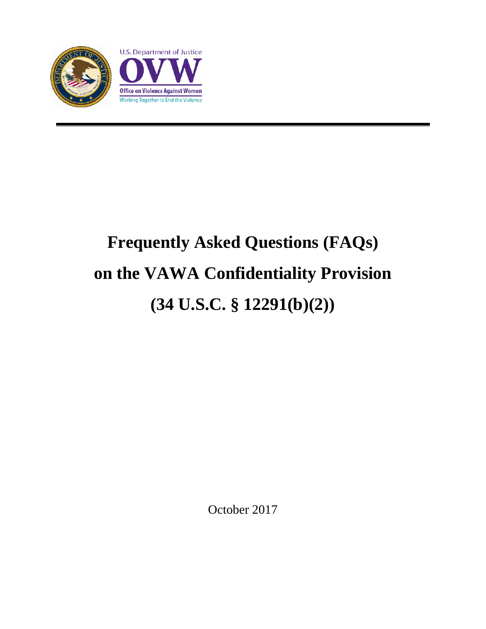

# **Frequently Asked Questions (FAQs) on the VAWA Confidentiality Provision (34 U.S.C. § 12291(b)(2))**

October 2017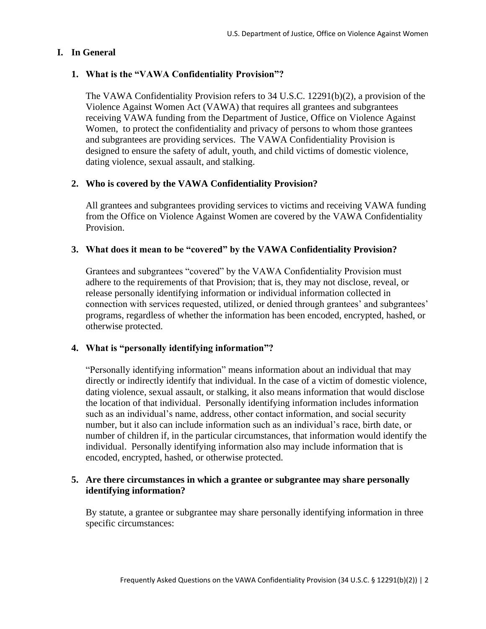# **I. In General**

# **1. What is the "VAWA Confidentiality Provision"?**

The VAWA Confidentiality Provision refers to 34 U.S.C. 12291(b)(2), a provision of the Violence Against Women Act (VAWA) that requires all grantees and subgrantees receiving VAWA funding from the Department of Justice, Office on Violence Against Women, to protect the confidentiality and privacy of persons to whom those grantees and subgrantees are providing services. The VAWA Confidentiality Provision is designed to ensure the safety of adult, youth, and child victims of domestic violence, dating violence, sexual assault, and stalking.

# **2. Who is covered by the VAWA Confidentiality Provision?**

All grantees and subgrantees providing services to victims and receiving VAWA funding from the Office on Violence Against Women are covered by the VAWA Confidentiality Provision.

# **3. What does it mean to be "covered" by the VAWA Confidentiality Provision?**

Grantees and subgrantees "covered" by the VAWA Confidentiality Provision must adhere to the requirements of that Provision; that is, they may not disclose, reveal, or release personally identifying information or individual information collected in connection with services requested, utilized, or denied through grantees' and subgrantees' programs, regardless of whether the information has been encoded, encrypted, hashed, or otherwise protected.

## **4. What is "personally identifying information"?**

"Personally identifying information" means information about an individual that may directly or indirectly identify that individual. In the case of a victim of domestic violence, dating violence, sexual assault, or stalking, it also means information that would disclose the location of that individual. Personally identifying information includes information such as an individual's name, address, other contact information, and social security number, but it also can include information such as an individual's race, birth date, or number of children if, in the particular circumstances, that information would identify the individual. Personally identifying information also may include information that is encoded, encrypted, hashed, or otherwise protected.

## **5. Are there circumstances in which a grantee or subgrantee may share personally identifying information?**

By statute, a grantee or subgrantee may share personally identifying information in three specific circumstances: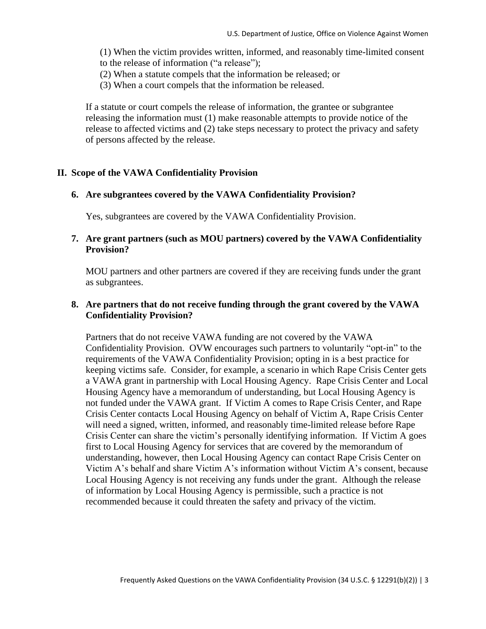(1) When the victim provides written, informed, and reasonably time-limited consent to the release of information ("a release");

- (2) When a statute compels that the information be released; or
- (3) When a court compels that the information be released.

If a statute or court compels the release of information, the grantee or subgrantee releasing the information must (1) make reasonable attempts to provide notice of the release to affected victims and (2) take steps necessary to protect the privacy and safety of persons affected by the release.

#### **II. Scope of the VAWA Confidentiality Provision**

#### **6. Are subgrantees covered by the VAWA Confidentiality Provision?**

Yes, subgrantees are covered by the VAWA Confidentiality Provision.

## **7. Are grant partners (such as MOU partners) covered by the VAWA Confidentiality Provision?**

MOU partners and other partners are covered if they are receiving funds under the grant as subgrantees.

## **8. Are partners that do not receive funding through the grant covered by the VAWA Confidentiality Provision?**

Partners that do not receive VAWA funding are not covered by the VAWA Confidentiality Provision. OVW encourages such partners to voluntarily "opt-in" to the requirements of the VAWA Confidentiality Provision; opting in is a best practice for keeping victims safe. Consider, for example, a scenario in which Rape Crisis Center gets a VAWA grant in partnership with Local Housing Agency. Rape Crisis Center and Local Housing Agency have a memorandum of understanding, but Local Housing Agency is not funded under the VAWA grant. If Victim A comes to Rape Crisis Center, and Rape Crisis Center contacts Local Housing Agency on behalf of Victim A, Rape Crisis Center will need a signed, written, informed, and reasonably time-limited release before Rape Crisis Center can share the victim's personally identifying information. If Victim A goes first to Local Housing Agency for services that are covered by the memorandum of understanding, however, then Local Housing Agency can contact Rape Crisis Center on Victim A's behalf and share Victim A's information without Victim A's consent, because Local Housing Agency is not receiving any funds under the grant. Although the release of information by Local Housing Agency is permissible, such a practice is not recommended because it could threaten the safety and privacy of the victim.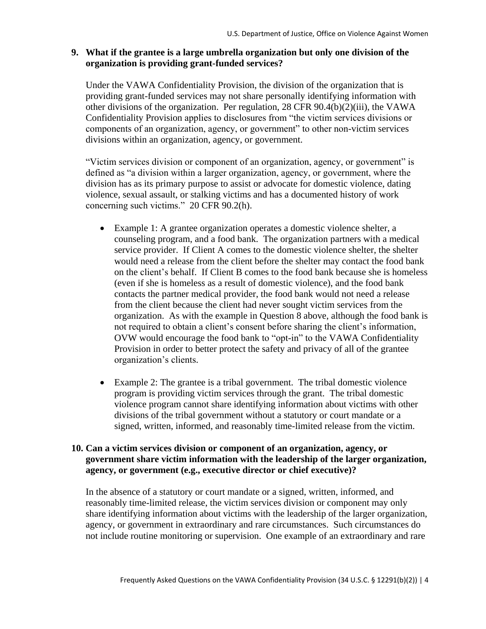## **9. What if the grantee is a large umbrella organization but only one division of the organization is providing grant-funded services?**

Under the VAWA Confidentiality Provision, the division of the organization that is providing grant-funded services may not share personally identifying information with other divisions of the organization. Per regulation, 28 CFR 90.4(b)(2)(iii), the VAWA Confidentiality Provision applies to disclosures from "the victim services divisions or components of an organization, agency, or government" to other non-victim services divisions within an organization, agency, or government.

"Victim services division or component of an organization, agency, or government" is defined as "a division within a larger organization, agency, or government, where the division has as its primary purpose to assist or advocate for domestic violence, dating violence, sexual assault, or stalking victims and has a documented history of work concerning such victims." 20 CFR 90.2(h).

- Example 1: A grantee organization operates a domestic violence shelter, a counseling program, and a food bank. The organization partners with a medical service provider. If Client A comes to the domestic violence shelter, the shelter would need a release from the client before the shelter may contact the food bank on the client's behalf. If Client B comes to the food bank because she is homeless (even if she is homeless as a result of domestic violence), and the food bank contacts the partner medical provider, the food bank would not need a release from the client because the client had never sought victim services from the organization. As with the example in Question 8 above, although the food bank is not required to obtain a client's consent before sharing the client's information, OVW would encourage the food bank to "opt-in" to the VAWA Confidentiality Provision in order to better protect the safety and privacy of all of the grantee organization's clients.
- Example 2: The grantee is a tribal government. The tribal domestic violence program is providing victim services through the grant. The tribal domestic violence program cannot share identifying information about victims with other divisions of the tribal government without a statutory or court mandate or a signed, written, informed, and reasonably time-limited release from the victim.

## **10. Can a victim services division or component of an organization, agency, or government share victim information with the leadership of the larger organization, agency, or government (e.g., executive director or chief executive)?**

In the absence of a statutory or court mandate or a signed, written, informed, and reasonably time-limited release, the victim services division or component may only share identifying information about victims with the leadership of the larger organization, agency, or government in extraordinary and rare circumstances. Such circumstances do not include routine monitoring or supervision. One example of an extraordinary and rare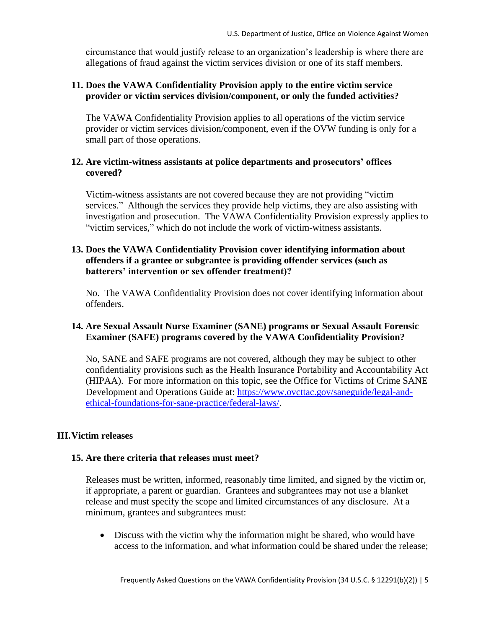circumstance that would justify release to an organization's leadership is where there are allegations of fraud against the victim services division or one of its staff members.

# **11. Does the VAWA Confidentiality Provision apply to the entire victim service provider or victim services division/component, or only the funded activities?**

The VAWA Confidentiality Provision applies to all operations of the victim service provider or victim services division/component, even if the OVW funding is only for a small part of those operations.

## **12. Are victim-witness assistants at police departments and prosecutors' offices covered?**

Victim-witness assistants are not covered because they are not providing "victim services." Although the services they provide help victims, they are also assisting with investigation and prosecution. The VAWA Confidentiality Provision expressly applies to "victim services," which do not include the work of victim-witness assistants.

# **13. Does the VAWA Confidentiality Provision cover identifying information about offenders if a grantee or subgrantee is providing offender services (such as batterers' intervention or sex offender treatment)?**

No. The VAWA Confidentiality Provision does not cover identifying information about offenders.

# **14. Are Sexual Assault Nurse Examiner (SANE) programs or Sexual Assault Forensic Examiner (SAFE) programs covered by the VAWA Confidentiality Provision?**

No, SANE and SAFE programs are not covered, although they may be subject to other confidentiality provisions such as the Health Insurance Portability and Accountability Act (HIPAA). For more information on this topic, see the Office for Victims of Crime SANE Development and Operations Guide at: [https://www.ovcttac.gov/saneguide/legal-and](https://www.ovcttac.gov/saneguide/legal-and-ethical-foundations-for-sane-practice/federal-laws/)[ethical-foundations-for-sane-practice/federal-laws/.](https://www.ovcttac.gov/saneguide/legal-and-ethical-foundations-for-sane-practice/federal-laws/)

# **III.Victim releases**

# **15. Are there criteria that releases must meet?**

Releases must be written, informed, reasonably time limited, and signed by the victim or, if appropriate, a parent or guardian. Grantees and subgrantees may not use a blanket release and must specify the scope and limited circumstances of any disclosure. At a minimum, grantees and subgrantees must:

• Discuss with the victim why the information might be shared, who would have access to the information, and what information could be shared under the release;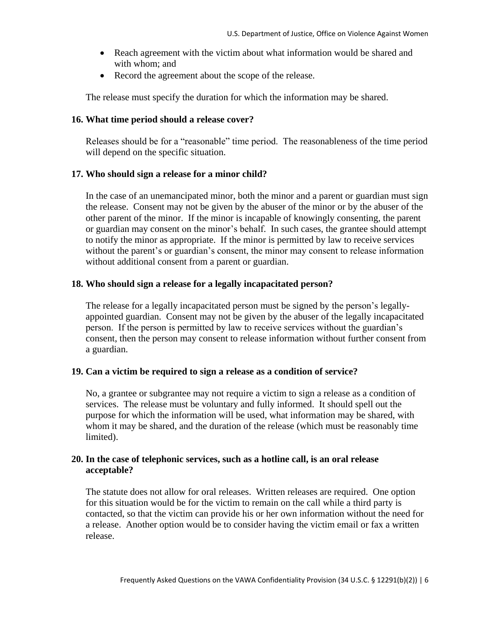- Reach agreement with the victim about what information would be shared and with whom; and
- Record the agreement about the scope of the release.

The release must specify the duration for which the information may be shared.

#### **16. What time period should a release cover?**

Releases should be for a "reasonable" time period. The reasonableness of the time period will depend on the specific situation.

#### **17. Who should sign a release for a minor child?**

In the case of an unemancipated minor, both the minor and a parent or guardian must sign the release. Consent may not be given by the abuser of the minor or by the abuser of the other parent of the minor. If the minor is incapable of knowingly consenting, the parent or guardian may consent on the minor's behalf. In such cases, the grantee should attempt to notify the minor as appropriate. If the minor is permitted by law to receive services without the parent's or guardian's consent, the minor may consent to release information without additional consent from a parent or guardian.

## **18. Who should sign a release for a legally incapacitated person?**

The release for a legally incapacitated person must be signed by the person's legallyappointed guardian. Consent may not be given by the abuser of the legally incapacitated person. If the person is permitted by law to receive services without the guardian's consent, then the person may consent to release information without further consent from a guardian.

## **19. Can a victim be required to sign a release as a condition of service?**

No, a grantee or subgrantee may not require a victim to sign a release as a condition of services. The release must be voluntary and fully informed. It should spell out the purpose for which the information will be used, what information may be shared, with whom it may be shared, and the duration of the release (which must be reasonably time limited).

## **20. In the case of telephonic services, such as a hotline call, is an oral release acceptable?**

The statute does not allow for oral releases. Written releases are required. One option for this situation would be for the victim to remain on the call while a third party is contacted, so that the victim can provide his or her own information without the need for a release. Another option would be to consider having the victim email or fax a written release.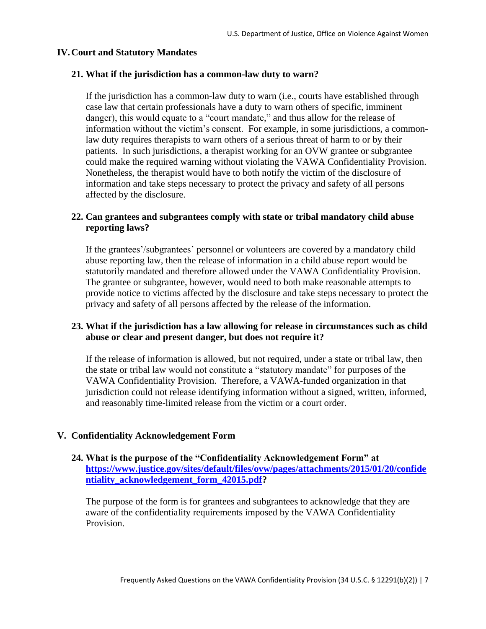#### **IV.Court and Statutory Mandates**

#### **21. What if the jurisdiction has a common-law duty to warn?**

If the jurisdiction has a common-law duty to warn (i.e., courts have established through case law that certain professionals have a duty to warn others of specific, imminent danger), this would equate to a "court mandate," and thus allow for the release of information without the victim's consent. For example, in some jurisdictions, a commonlaw duty requires therapists to warn others of a serious threat of harm to or by their patients. In such jurisdictions, a therapist working for an OVW grantee or subgrantee could make the required warning without violating the VAWA Confidentiality Provision. Nonetheless, the therapist would have to both notify the victim of the disclosure of information and take steps necessary to protect the privacy and safety of all persons affected by the disclosure.

## **22. Can grantees and subgrantees comply with state or tribal mandatory child abuse reporting laws?**

If the grantees'/subgrantees' personnel or volunteers are covered by a mandatory child abuse reporting law, then the release of information in a child abuse report would be statutorily mandated and therefore allowed under the VAWA Confidentiality Provision. The grantee or subgrantee, however, would need to both make reasonable attempts to provide notice to victims affected by the disclosure and take steps necessary to protect the privacy and safety of all persons affected by the release of the information.

#### **23. What if the jurisdiction has a law allowing for release in circumstances such as child abuse or clear and present danger, but does not require it?**

If the release of information is allowed, but not required, under a state or tribal law, then the state or tribal law would not constitute a "statutory mandate" for purposes of the VAWA Confidentiality Provision. Therefore, a VAWA-funded organization in that jurisdiction could not release identifying information without a signed, written, informed, and reasonably time-limited release from the victim or a court order.

#### **V. Confidentiality Acknowledgement Form**

### **24. What is the purpose of the "Confidentiality Acknowledgement Form" at [https://www.justice.gov/sites/default/files/ovw/pages/attachments/2015/01/20/confide](https://www.justice.gov/sites/default/files/ovw/pages/attachments/2015/01/20/confidentiality_acknowledgement_form_42015.pdf) [ntiality\\_acknowledgement\\_form\\_42015.pdf?](https://www.justice.gov/sites/default/files/ovw/pages/attachments/2015/01/20/confidentiality_acknowledgement_form_42015.pdf)**

The purpose of the form is for grantees and subgrantees to acknowledge that they are aware of the confidentiality requirements imposed by the VAWA Confidentiality Provision.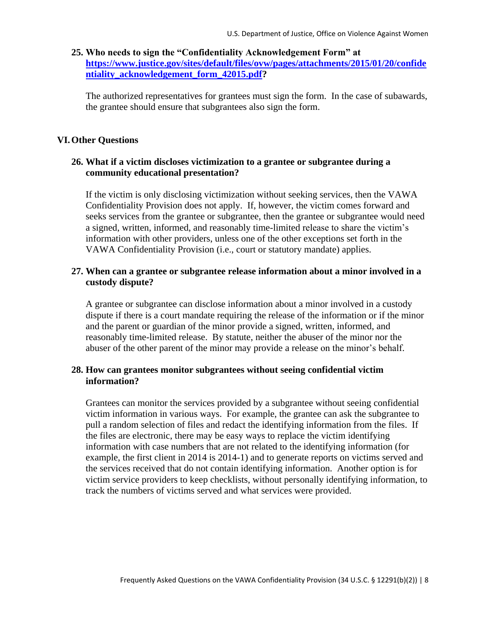## **25. Who needs to sign the "Confidentiality Acknowledgement Form" at [https://www.justice.gov/sites/default/files/ovw/pages/attachments/2015/01/20/confide](https://www.justice.gov/sites/default/files/ovw/pages/attachments/2015/01/20/confidentiality_acknowledgement_form_42015.pdf) [ntiality\\_acknowledgement\\_form\\_42015.pdf?](https://www.justice.gov/sites/default/files/ovw/pages/attachments/2015/01/20/confidentiality_acknowledgement_form_42015.pdf)**

The authorized representatives for grantees must sign the form. In the case of subawards, the grantee should ensure that subgrantees also sign the form.

#### **VI.Other Questions**

## **26. What if a victim discloses victimization to a grantee or subgrantee during a community educational presentation?**

If the victim is only disclosing victimization without seeking services, then the VAWA Confidentiality Provision does not apply. If, however, the victim comes forward and seeks services from the grantee or subgrantee, then the grantee or subgrantee would need a signed, written, informed, and reasonably time-limited release to share the victim's information with other providers, unless one of the other exceptions set forth in the VAWA Confidentiality Provision (i.e., court or statutory mandate) applies.

## **27. When can a grantee or subgrantee release information about a minor involved in a custody dispute?**

A grantee or subgrantee can disclose information about a minor involved in a custody dispute if there is a court mandate requiring the release of the information or if the minor and the parent or guardian of the minor provide a signed, written, informed, and reasonably time-limited release. By statute, neither the abuser of the minor nor the abuser of the other parent of the minor may provide a release on the minor's behalf.

#### **28. How can grantees monitor subgrantees without seeing confidential victim information?**

Grantees can monitor the services provided by a subgrantee without seeing confidential victim information in various ways. For example, the grantee can ask the subgrantee to pull a random selection of files and redact the identifying information from the files. If the files are electronic, there may be easy ways to replace the victim identifying information with case numbers that are not related to the identifying information (for example, the first client in 2014 is 2014-1) and to generate reports on victims served and the services received that do not contain identifying information. Another option is for victim service providers to keep checklists, without personally identifying information, to track the numbers of victims served and what services were provided.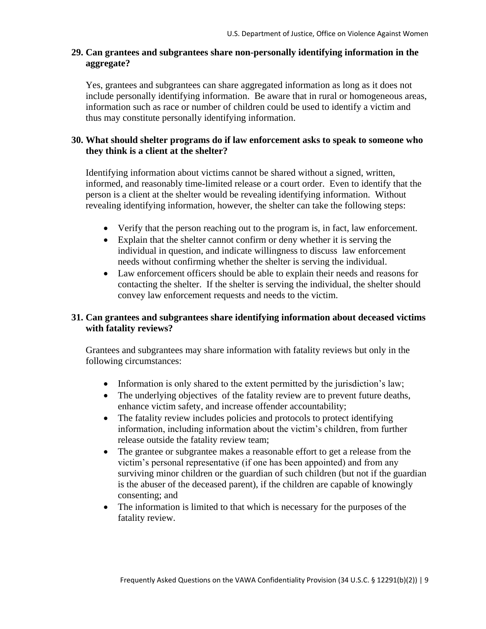## **29. Can grantees and subgrantees share non-personally identifying information in the aggregate?**

Yes, grantees and subgrantees can share aggregated information as long as it does not include personally identifying information. Be aware that in rural or homogeneous areas, information such as race or number of children could be used to identify a victim and thus may constitute personally identifying information.

# **30. What should shelter programs do if law enforcement asks to speak to someone who they think is a client at the shelter?**

Identifying information about victims cannot be shared without a signed, written, informed, and reasonably time-limited release or a court order. Even to identify that the person is a client at the shelter would be revealing identifying information. Without revealing identifying information, however, the shelter can take the following steps:

- Verify that the person reaching out to the program is, in fact, law enforcement.
- Explain that the shelter cannot confirm or deny whether it is serving the individual in question, and indicate willingness to discuss law enforcement needs without confirming whether the shelter is serving the individual.
- Law enforcement officers should be able to explain their needs and reasons for contacting the shelter. If the shelter is serving the individual, the shelter should convey law enforcement requests and needs to the victim.

# **31. Can grantees and subgrantees share identifying information about deceased victims with fatality reviews?**

Grantees and subgrantees may share information with fatality reviews but only in the following circumstances:

- Information is only shared to the extent permitted by the jurisdiction's law;
- The underlying objectives of the fatality review are to prevent future deaths, enhance victim safety, and increase offender accountability;
- The fatality review includes policies and protocols to protect identifying information, including information about the victim's children, from further release outside the fatality review team;
- The grantee or subgrantee makes a reasonable effort to get a release from the victim's personal representative (if one has been appointed) and from any surviving minor children or the guardian of such children (but not if the guardian is the abuser of the deceased parent), if the children are capable of knowingly consenting; and
- The information is limited to that which is necessary for the purposes of the fatality review.